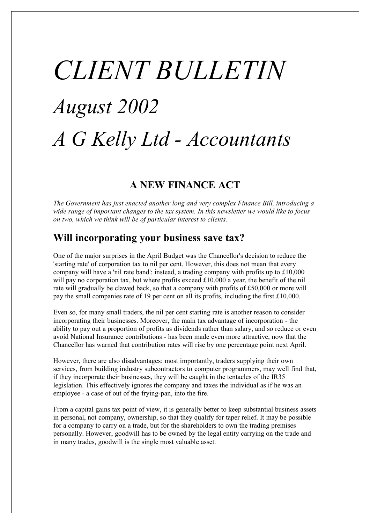# *CLIENT BULLETIN August 2002 A G Kelly Ltd - Accountants*

# **A NEW FINANCE ACT**

*The Government has just enacted another long and very complex Finance Bill, introducing a wide range of important changes to the tax system. In this newsletter we would like to focus on two, which we think will be of particular interest to clients.*

# **Will incorporating your business save tax?**

One of the major surprises in the April Budget was the Chancellor's decision to reduce the 'starting rate' of corporation tax to nil per cent. However, this does not mean that every company will have a 'nil rate band': instead, a trading company with profits up to £10,000 will pay no corporation tax, but where profits exceed £10,000 a year, the benefit of the nil rate will gradually be clawed back, so that a company with profits of £50,000 or more will pay the small companies rate of 19 per cent on all its profits, including the first £10,000.

Even so, for many small traders, the nil per cent starting rate is another reason to consider incorporating their businesses. Moreover, the main tax advantage of incorporation - the ability to pay out a proportion of profits as dividends rather than salary, and so reduce or even avoid National Insurance contributions - has been made even more attractive, now that the Chancellor has warned that contribution rates will rise by one percentage point next April.

However, there are also disadvantages: most importantly, traders supplying their own services, from building industry subcontractors to computer programmers, may well find that, if they incorporate their businesses, they will be caught in the tentacles of the IR35 legislation. This effectively ignores the company and taxes the individual as if he was an employee - a case of out of the frying-pan, into the fire.

From a capital gains tax point of view, it is generally better to keep substantial business assets in personal, not company, ownership, so that they qualify for taper relief. It may be possible for a company to carry on a trade, but for the shareholders to own the trading premises personally. However, goodwill has to be owned by the legal entity carrying on the trade and in many trades, goodwill is the single most valuable asset.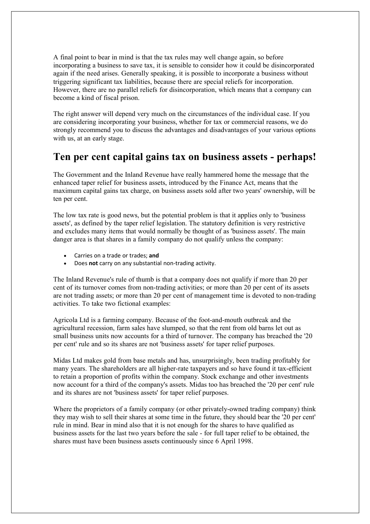A final point to bear in mind is that the tax rules may well change again, so before incorporating a business to save tax, it is sensible to consider how it could be disincorporated again if the need arises. Generally speaking, it is possible to incorporate a business without triggering significant tax liabilities, because there are special reliefs for incorporation. However, there are no parallel reliefs for disincorporation, which means that a company can become a kind of fiscal prison.

The right answer will depend very much on the circumstances of the individual case. If you are considering incorporating your business, whether for tax or commercial reasons, we do strongly recommend you to discuss the advantages and disadvantages of your various options with us, at an early stage.

#### **Ten per cent capital gains tax on business assets - perhaps!**

The Government and the Inland Revenue have really hammered home the message that the enhanced taper relief for business assets, introduced by the Finance Act, means that the maximum capital gains tax charge, on business assets sold after two years' ownership, will be ten per cent.

The low tax rate is good news, but the potential problem is that it applies only to 'business assets', as defined by the taper relief legislation. The statutory definition is very restrictive and excludes many items that would normally be thought of as 'business assets'. The main danger area is that shares in a family company do not qualify unless the company:

- · Carries on a trade or trades; **and**
- · Does **not** carry on any substantial non-trading activity.

The Inland Revenue's rule of thumb is that a company does not qualify if more than 20 per cent of its turnover comes from non-trading activities; or more than 20 per cent of its assets are not trading assets; or more than 20 per cent of management time is devoted to non-trading activities. To take two fictional examples:

Agricola Ltd is a farming company. Because of the foot-and-mouth outbreak and the agricultural recession, farm sales have slumped, so that the rent from old barns let out as small business units now accounts for a third of turnover. The company has breached the '20 per cent' rule and so its shares are not 'business assets' for taper relief purposes.

Midas Ltd makes gold from base metals and has, unsurprisingly, been trading profitably for many years. The shareholders are all higher-rate taxpayers and so have found it tax-efficient to retain a proportion of profits within the company. Stock exchange and other investments now account for a third of the company's assets. Midas too has breached the '20 per cent' rule and its shares are not 'business assets' for taper relief purposes.

Where the proprietors of a family company (or other privately-owned trading company) think they may wish to sell their shares at some time in the future, they should bear the '20 per cent' rule in mind. Bear in mind also that it is not enough for the shares to have qualified as business assets for the last two years before the sale - for full taper relief to be obtained, the shares must have been business assets continuously since 6 April 1998.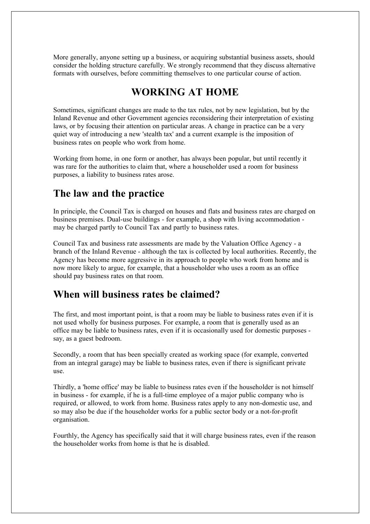More generally, anyone setting up a business, or acquiring substantial business assets, should consider the holding structure carefully. We strongly recommend that they discuss alternative formats with ourselves, before committing themselves to one particular course of action.

#### **WORKING AT HOME**

Sometimes, significant changes are made to the tax rules, not by new legislation, but by the Inland Revenue and other Government agencies reconsidering their interpretation of existing laws, or by focusing their attention on particular areas. A change in practice can be a very quiet way of introducing a new 'stealth tax' and a current example is the imposition of business rates on people who work from home.

Working from home, in one form or another, has always been popular, but until recently it was rare for the authorities to claim that, where a householder used a room for business purposes, a liability to business rates arose.

## **The law and the practice**

In principle, the Council Tax is charged on houses and flats and business rates are charged on business premises. Dual-use buildings - for example, a shop with living accommodation may be charged partly to Council Tax and partly to business rates.

Council Tax and business rate assessments are made by the Valuation Office Agency - a branch of the Inland Revenue - although the tax is collected by local authorities. Recently, the Agency has become more aggressive in its approach to people who work from home and is now more likely to argue, for example, that a householder who uses a room as an office should pay business rates on that room.

#### **When will business rates be claimed?**

The first, and most important point, is that a room may be liable to business rates even if it is not used wholly for business purposes. For example, a room that is generally used as an office may be liable to business rates, even if it is occasionally used for domestic purposes say, as a guest bedroom.

Secondly, a room that has been specially created as working space (for example, converted from an integral garage) may be liable to business rates, even if there is significant private use.

Thirdly, a 'home office' may be liable to business rates even if the householder is not himself in business - for example, if he is a full-time employee of a major public company who is required, or allowed, to work from home. Business rates apply to any non-domestic use, and so may also be due if the householder works for a public sector body or a not-for-profit organisation.

Fourthly, the Agency has specifically said that it will charge business rates, even if the reason the householder works from home is that he is disabled.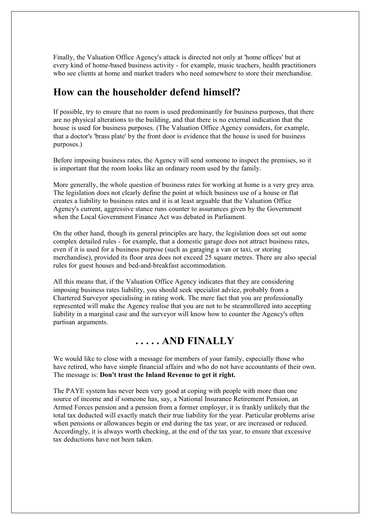Finally, the Valuation Office Agency's attack is directed not only at 'home offices' but at every kind of home-based business activity - for example, music teachers, health practitioners who see clients at home and market traders who need somewhere to store their merchandise.

#### **How can the householder defend himself?**

If possible, try to ensure that no room is used predominantly for business purposes, that there are no physical alterations to the building, and that there is no external indication that the house is used for business purposes. (The Valuation Office Agency considers, for example, that a doctor's 'brass plate' by the front door is evidence that the house is used for business purposes.)

Before imposing business rates, the Agency will send someone to inspect the premises, so it is important that the room looks like an ordinary room used by the family.

More generally, the whole question of business rates for working at home is a very grey area. The legislation does not clearly define the point at which business use of a house or flat creates a liability to business rates and it is at least arguable that the Valuation Office Agency's current, aggressive stance runs counter to assurances given by the Government when the Local Government Finance Act was debated in Parliament.

On the other hand, though its general principles are hazy, the legislation does set out some complex detailed rules - for example, that a domestic garage does not attract business rates, even if it is used for a business purpose (such as garaging a van or taxi, or storing merchandise), provided its floor area does not exceed 25 square metres. There are also special rules for guest houses and bed-and-breakfast accommodation.

All this means that, if the Valuation Office Agency indicates that they are considering imposing business rates liability, you should seek specialist advice, probably from a Chartered Surveyor specialising in rating work. The mere fact that you are professionally represented will make the Agency realise that you are not to be steamrollered into accepting liability in a marginal case and the surveyor will know how to counter the Agency's often partisan arguments.

## **. . . . . AND FINALLY**

We would like to close with a message for members of your family, especially those who have retired, who have simple financial affairs and who do not have accountants of their own. The message is: **Don't trust the Inland Revenue to get it right.**

The PAYE system has never been very good at coping with people with more than one source of income and if someone has, say, a National Insurance Retirement Pension, an Armed Forces pension and a pension from a former employer, it is frankly unlikely that the total tax deducted will exactly match their true liability for the year. Particular problems arise when pensions or allowances begin or end during the tax year, or are increased or reduced. Accordingly, it is always worth checking, at the end of the tax year, to ensure that excessive tax deductions have not been taken.